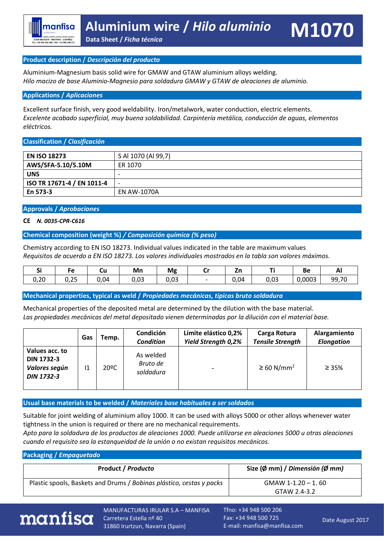#### **Product description /** *Descripción del producto*

Aluminium-Magnesium basis solid wire for GMAW and GTAW aluminium alloys welding. *Hilo macizo de base Aluminio-Magnesio para soldadura GMAW y GTAW de aleaciones de aluminio.*

#### **Applications /** *Aplicaciones*

Excellent surface finish, very good weldability. Iron/metalwork, water conduction, electric elements. *Excelente acabado superficial, muy buena soldabilidad. Carpintería metálica, conducción de aguas, elementos eléctricos.*

#### **Classification /** *Clasificación*

| <b>EN ISO 18273</b>        | S Al 1070 (Al 99,7)      |
|----------------------------|--------------------------|
| AWS/SFA-5.10/5.10M         | ER 1070                  |
| <b>UNS</b>                 | ۰                        |
| ISO TR 17671-4 / EN 1011-4 | $\overline{\phantom{0}}$ |
| En 573-3                   | EN AW-1070A              |

#### **Approvals /** *Aprobaciones*

#### **CE** *N. 0035-CPR-C616*

#### **Chemical composition (weight %)** */ Composición química (% peso)*

Chemistry according to EN ISO 18273. Individual values indicated in the table are maximum values *Requisitos de acuerdo a EN ISO 18273. Los valores individuales mostrados en la tabla son valores máximos.*

| - -  |                       | uu   | Mn   | <b>Mg</b> | ີ | , .<br>-- |      | ве     | гu.   |
|------|-----------------------|------|------|-----------|---|-----------|------|--------|-------|
| 0,20 | $\sim$ $\sim$<br>U,ZJ | J,04 | 0,03 | 0,03      |   | 0,04      | 0,03 | 0,0003 | 99,70 |

#### **Mechanical properties, typical as weld /** *Propiedades mecánicas, típicas bruto soldadura*

Mechanical properties of the deposited metal are determined by the dilution with the base material. *Las propiedades mecánicas del metal depositado vienen determinadas por la dilución con el material base.*

|                                                                           | Gas | Temp. | Condición<br><b>Condition</b>      | Límite elástico 0,2%<br><b>Yield Strength 0,2%</b> | Carga Rotura<br><b>Tensile Strength</b> | Alargamiento<br><b>Elongation</b> |
|---------------------------------------------------------------------------|-----|-------|------------------------------------|----------------------------------------------------|-----------------------------------------|-----------------------------------|
| Values acc. to<br><b>DIN 1732-3</b><br>Valores según<br><b>DIN 1732-3</b> | 11  | 20ºC  | As welded<br>Bruto de<br>soldadura |                                                    | $\geq$ 60 N/mm <sup>2</sup>             | $\geq 35\%$                       |

**Usual base materials to be welded /** *Materiales base habituales a ser soldados*

Suitable for joint welding of aluminium alloy 1000. It can be used with alloys 5000 or other alloys whenever water tightness in the union is required or there are no mechanical requirements.

*Apto para la soldadura de los productos de aleaciones 1000. Puede utilizarse en aleaciones 5000 u otras aleaciones cuando el requisito sea la estanqueidad de la unión o no existan requisitos mecánicos.* 

#### **Packaging /** *Empaquetado*

| <b>Product / Producto</b>                                            | Size (Ø mm) / Dimensión (Ø mm) |
|----------------------------------------------------------------------|--------------------------------|
| Plastic spools, Baskets and Drums / Bobinas plástico, cestas y packs | GMAW 1-1.20 - 1.60             |
|                                                                      | GTAW 2.4-3.2                   |



MANUFACTURAS IRULAR S.A – MANFISA Carretera Estella nº 40 31860 Irurtzun, Navarra (Spain)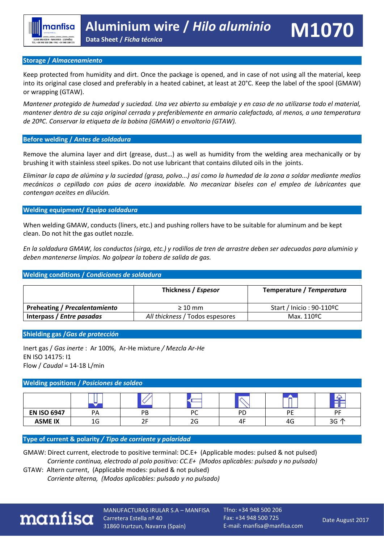#### **Storage /** *Almacenamiento*

Keep protected from humidity and dirt. Once the package is opened, and in case of not using all the material, keep into its original case closed and preferably in a heated cabinet, at least at 20°C. Keep the label of the spool (GMAW) or wrapping (GTAW).

*Mantener protegido de humedad y suciedad. Una vez abierto su embalaje y en caso de no utilizarse todo el material, mantener dentro de su caja original cerrada y preferiblemente en armario calefactado, al menos, a una temperatura de 20ºC. Conservar la etiqueta de la bobina (GMAW) o envoltorio (GTAW).*

#### **Before welding /** *Antes de soldadura*

Remove the alumina layer and dirt (grease, dust…) as well as humidity from the welding area mechanically or by brushing it with stainless steel spikes. Do not use lubricant that contains diluted oils in the joints.

*Eliminar la capa de alúmina y la suciedad (grasa, polvo...) así como la humedad de la zona a soldar mediante medios mecánicos o cepillado con púas de acero inoxidable. No mecanizar biseles con el empleo de lubricantes que contengan aceites en dilución.*

#### **Welding equipment/** *Equipo soldadura*

When welding GMAW, conducts (liners, etc.) and pushing rollers have to be suitable for aluminum and be kept clean. Do not hit the gas outlet nozzle.

*En la soldadura GMAW, los conductos (sirga, etc.) y rodillos de tren de arrastre deben ser adecuados para aluminio y deben mantenerse limpios. No golpear la tobera de salida de gas.*

#### **Welding conditions /** *Condiciones de soldadura*

|                                      | Thickness / Espesor             | Temperature / Temperatura |
|--------------------------------------|---------------------------------|---------------------------|
| <b>Preheating / Precalentamiento</b> | $\geq 10$ mm                    | Start / Inicio: 90-110ºC  |
| Interpass / Entre pasadas            | All thickness / Todos espesores | Max. 110ºC                |

#### **Shielding gas /***Gas de protección*

Inert gas / *Gas inerte* : Ar 100%, Ar-He mixture */ Mezcla Ar-He*  EN ISO 14175: I1 Flow / *Caudal* = 14-18 L/min

#### **Welding positions /** *Posiciones de soldeo*

| <b>EN ISO 6947</b> | PA | PB | PC | PD | DE                             | PF   |
|--------------------|----|----|----|----|--------------------------------|------|
| <b>ASME IX</b>     | 1G |    | 2G | 4ŀ | $\overline{\phantom{0}}$<br>49 | 3G 个 |

**Type of current & polarity** */ Tipo de corriente y polaridad*

GMAW: Direct current, electrode to positive terminal: DC.E+ (Applicable modes: pulsed & not pulsed)  *Corriente continua, electrodo al polo positivo: CC.E+ (Modos aplicables: pulsado y no pulsado)* 

GTAW: Altern current, (Applicable modes: pulsed & not pulsed)  *Corriente alterna, (Modos aplicables: pulsado y no pulsado)* 



MANUFACTURAS IRULAR S.A – MANFISA Carretera Estella nº 40 31860 Irurtzun, Navarra (Spain)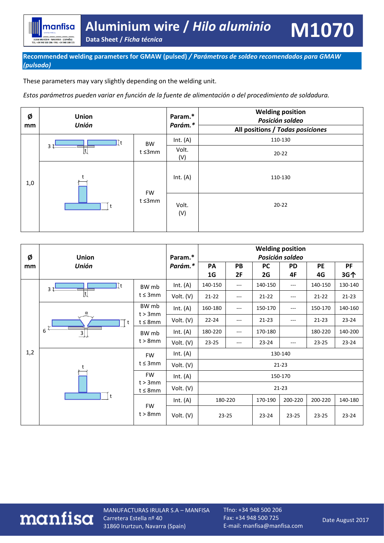# **Aluminium wire /** *Hilo aluminio* **Data Sheet /** *Ficha técnica* **M1070**

manfisa

31860 IRURZUN - NAVARRA - (ESPAÑA)<br>TEL. +34 948 500 206 FAX. +34 948 500 725

These parameters may vary slightly depending on the welding unit.

*Estos parámetros pueden variar en función de la fuente de alimentación o del procedimiento de soldadura.*



| Ø   | <b>Union</b>                          | Param.*                  | <b>Welding position</b><br>Posición soldeo |                |       |           |           |                                                                                         |           |
|-----|---------------------------------------|--------------------------|--------------------------------------------|----------------|-------|-----------|-----------|-----------------------------------------------------------------------------------------|-----------|
| mm  | <b>Unión</b>                          |                          | Parám.*                                    |                | PB    | PC        | <b>PD</b> | PE                                                                                      | PF        |
|     |                                       |                          |                                            | 1 <sub>G</sub> | 2F    | 2G        | 4F        |                                                                                         | 3G个       |
|     | l Tt<br>3 <sup>†</sup>                | BW mb                    | Int. $(A)$                                 | 140-150        | $---$ | 140-150   | ---       | 140-150                                                                                 | 130-140   |
|     | Ų                                     | $t \leq 3$ mm            | Volt. (V)                                  | $21-22$        | $---$ | $21 - 22$ | $---$     | 4G<br>$21 - 22$<br>150-170<br>$21 - 23$<br>180-220<br>$23 - 25$<br>200-220<br>$23 - 25$ | $21 - 23$ |
|     | α                                     | BW mb<br>$t > 3$ mm      | Int. $(A)$                                 | 160-180        | $---$ | 150-170   | ---       |                                                                                         | 140-160   |
|     | t<br>6 <sup>4</sup><br>$\overline{3}$ | $t \leq 8$ mm            | Volt. (V)                                  | $22 - 24$      | $---$ | $21 - 23$ | ---       |                                                                                         | $23 - 24$ |
|     |                                       | BW mb                    | Int. $(A)$                                 | 180-220        | $---$ | 170-180   |           |                                                                                         | 140-200   |
|     |                                       | $t > 8$ mm               | Volt. (V)                                  | $23 - 25$      | $---$ | $23 - 24$ | ---       |                                                                                         | $23 - 24$ |
| 1,2 | t<br>$\mathsf{t}$                     | <b>FW</b>                | Int. $(A)$                                 | 130-140        |       |           |           |                                                                                         |           |
|     |                                       | $t \leq 3$ mm            | Volt. (V)                                  | $21 - 23$      |       |           |           |                                                                                         |           |
|     |                                       | <b>FW</b>                | Int. $(A)$                                 | 150-170        |       |           |           |                                                                                         |           |
|     |                                       | t > 3mm<br>$t \leq 8$ mm | Volt. (V)                                  | $21 - 23$      |       |           |           |                                                                                         |           |
|     |                                       | <b>FW</b>                | Int. $(A)$                                 | 180-220        |       | 170-190   | 200-220   |                                                                                         | 140-180   |
|     |                                       | $t > 8$ mm               | Volt. $(V)$                                | $23 - 25$      |       | $23 - 24$ | $23 - 25$ |                                                                                         | $23 - 24$ |

### manfisa

MANUFACTURAS IRULAR S.A – MANFISA Carretera Estella nº 40 31860 Irurtzun, Navarra (Spain)